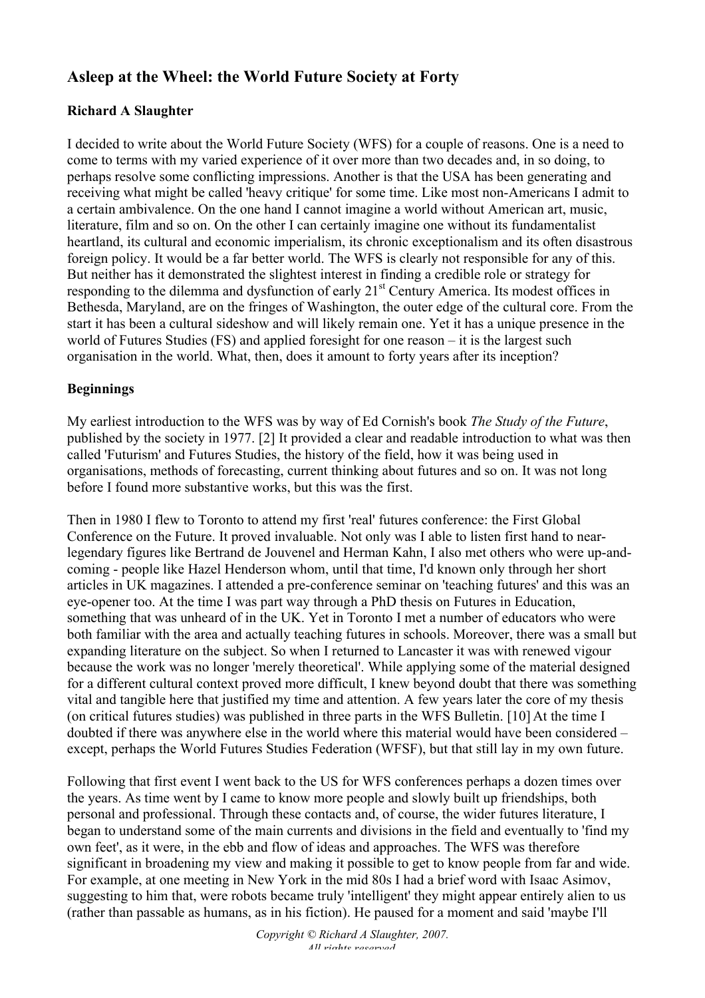# **Asleep at the Wheel: the World Future Society at Forty**

# **Richard A Slaughter**

I decided to write about the World Future Society (WFS) for a couple of reasons. One is a need to come to terms with my varied experience of it over more than two decades and, in so doing, to perhaps resolve some conflicting impressions. Another is that the USA has been generating and receiving what might be called 'heavy critique' for some time. Like most non-Americans I admit to a certain ambivalence. On the one hand I cannot imagine a world without American art, music, literature, film and so on. On the other I can certainly imagine one without its fundamentalist heartland, its cultural and economic imperialism, its chronic exceptionalism and its often disastrous foreign policy. It would be a far better world. The WFS is clearly not responsible for any of this. But neither has it demonstrated the slightest interest in finding a credible role or strategy for responding to the dilemma and dysfunction of early 21<sup>st</sup> Century America. Its modest offices in Bethesda, Maryland, are on the fringes of Washington, the outer edge of the cultural core. From the start it has been a cultural sideshow and will likely remain one. Yet it has a unique presence in the world of Futures Studies (FS) and applied foresight for one reason – it is the largest such organisation in the world. What, then, does it amount to forty years after its inception?

# **Beginnings**

My earliest introduction to the WFS was by way of Ed Cornish's book *The Study of the Future*, published by the society in 1977. [2] It provided a clear and readable introduction to what was then called 'Futurism' and Futures Studies, the history of the field, how it was being used in organisations, methods of forecasting, current thinking about futures and so on. It was not long before I found more substantive works, but this was the first.

Then in 1980 I flew to Toronto to attend my first 'real' futures conference: the First Global Conference on the Future. It proved invaluable. Not only was I able to listen first hand to nearlegendary figures like Bertrand de Jouvenel and Herman Kahn, I also met others who were up-andcoming - people like Hazel Henderson whom, until that time, I'd known only through her short articles in UK magazines. I attended a pre-conference seminar on 'teaching futures' and this was an eye-opener too. At the time I was part way through a PhD thesis on Futures in Education, something that was unheard of in the UK. Yet in Toronto I met a number of educators who were both familiar with the area and actually teaching futures in schools. Moreover, there was a small but expanding literature on the subject. So when I returned to Lancaster it was with renewed vigour because the work was no longer 'merely theoretical'. While applying some of the material designed for a different cultural context proved more difficult, I knew beyond doubt that there was something vital and tangible here that justified my time and attention. A few years later the core of my thesis (on critical futures studies) was published in three parts in the WFS Bulletin. [10] At the time I doubted if there was anywhere else in the world where this material would have been considered – except, perhaps the World Futures Studies Federation (WFSF), but that still lay in my own future.

Following that first event I went back to the US for WFS conferences perhaps a dozen times over the years. As time went by I came to know more people and slowly built up friendships, both personal and professional. Through these contacts and, of course, the wider futures literature, I began to understand some of the main currents and divisions in the field and eventually to 'find my own feet', as it were, in the ebb and flow of ideas and approaches. The WFS was therefore significant in broadening my view and making it possible to get to know people from far and wide. For example, at one meeting in New York in the mid 80s I had a brief word with Isaac Asimov, suggesting to him that, were robots became truly 'intelligent' they might appear entirely alien to us (rather than passable as humans, as in his fiction). He paused for a moment and said 'maybe I'll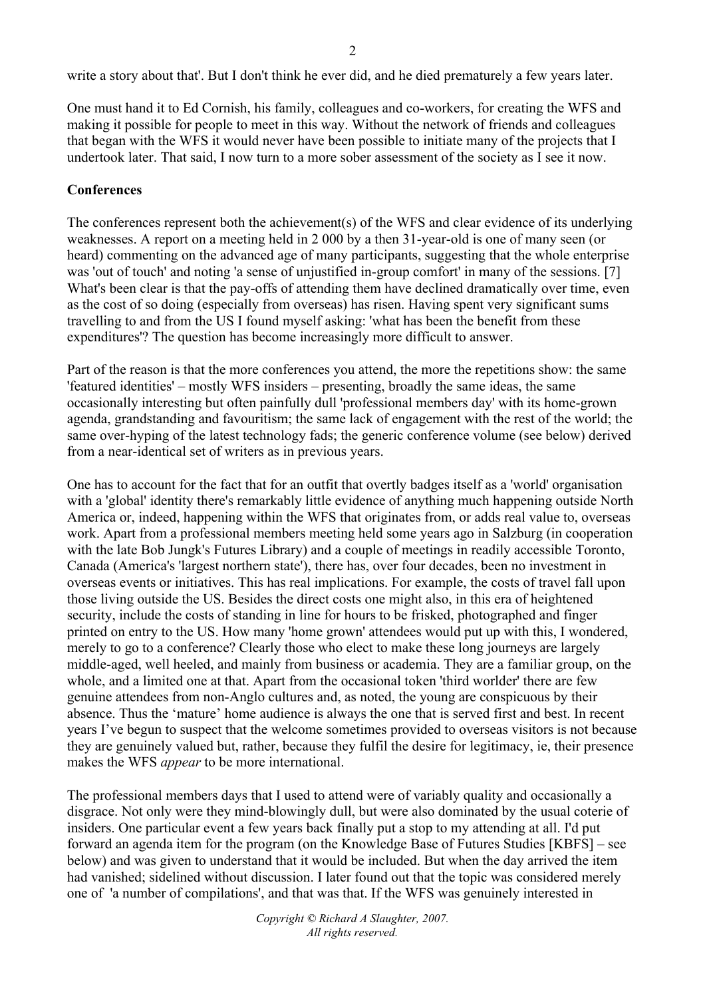write a story about that'. But I don't think he ever did, and he died prematurely a few years later.

One must hand it to Ed Cornish, his family, colleagues and co-workers, for creating the WFS and making it possible for people to meet in this way. Without the network of friends and colleagues that began with the WFS it would never have been possible to initiate many of the projects that I undertook later. That said, I now turn to a more sober assessment of the society as I see it now.

#### **Conferences**

The conferences represent both the achievement(s) of the WFS and clear evidence of its underlying weaknesses. A report on a meeting held in 2 000 by a then 31-year-old is one of many seen (or heard) commenting on the advanced age of many participants, suggesting that the whole enterprise was 'out of touch' and noting 'a sense of unjustified in-group comfort' in many of the sessions. [7] What's been clear is that the pay-offs of attending them have declined dramatically over time, even as the cost of so doing (especially from overseas) has risen. Having spent very significant sums travelling to and from the US I found myself asking: 'what has been the benefit from these expenditures'? The question has become increasingly more difficult to answer.

Part of the reason is that the more conferences you attend, the more the repetitions show: the same 'featured identities' – mostly WFS insiders – presenting, broadly the same ideas, the same occasionally interesting but often painfully dull 'professional members day' with its home-grown agenda, grandstanding and favouritism; the same lack of engagement with the rest of the world; the same over-hyping of the latest technology fads; the generic conference volume (see below) derived from a near-identical set of writers as in previous years.

One has to account for the fact that for an outfit that overtly badges itself as a 'world' organisation with a 'global' identity there's remarkably little evidence of anything much happening outside North America or, indeed, happening within the WFS that originates from, or adds real value to, overseas work. Apart from a professional members meeting held some years ago in Salzburg (in cooperation with the late Bob Jungk's Futures Library) and a couple of meetings in readily accessible Toronto, Canada (America's 'largest northern state'), there has, over four decades, been no investment in overseas events or initiatives. This has real implications. For example, the costs of travel fall upon those living outside the US. Besides the direct costs one might also, in this era of heightened security, include the costs of standing in line for hours to be frisked, photographed and finger printed on entry to the US. How many 'home grown' attendees would put up with this, I wondered, merely to go to a conference? Clearly those who elect to make these long journeys are largely middle-aged, well heeled, and mainly from business or academia. They are a familiar group, on the whole, and a limited one at that. Apart from the occasional token 'third worlder' there are few genuine attendees from non-Anglo cultures and, as noted, the young are conspicuous by their absence. Thus the 'mature' home audience is always the one that is served first and best. In recent years I've begun to suspect that the welcome sometimes provided to overseas visitors is not because they are genuinely valued but, rather, because they fulfil the desire for legitimacy, ie, their presence makes the WFS *appear* to be more international.

The professional members days that I used to attend were of variably quality and occasionally a disgrace. Not only were they mind-blowingly dull, but were also dominated by the usual coterie of insiders. One particular event a few years back finally put a stop to my attending at all. I'd put forward an agenda item for the program (on the Knowledge Base of Futures Studies [KBFS] – see below) and was given to understand that it would be included. But when the day arrived the item had vanished; sidelined without discussion. I later found out that the topic was considered merely one of 'a number of compilations', and that was that. If the WFS was genuinely interested in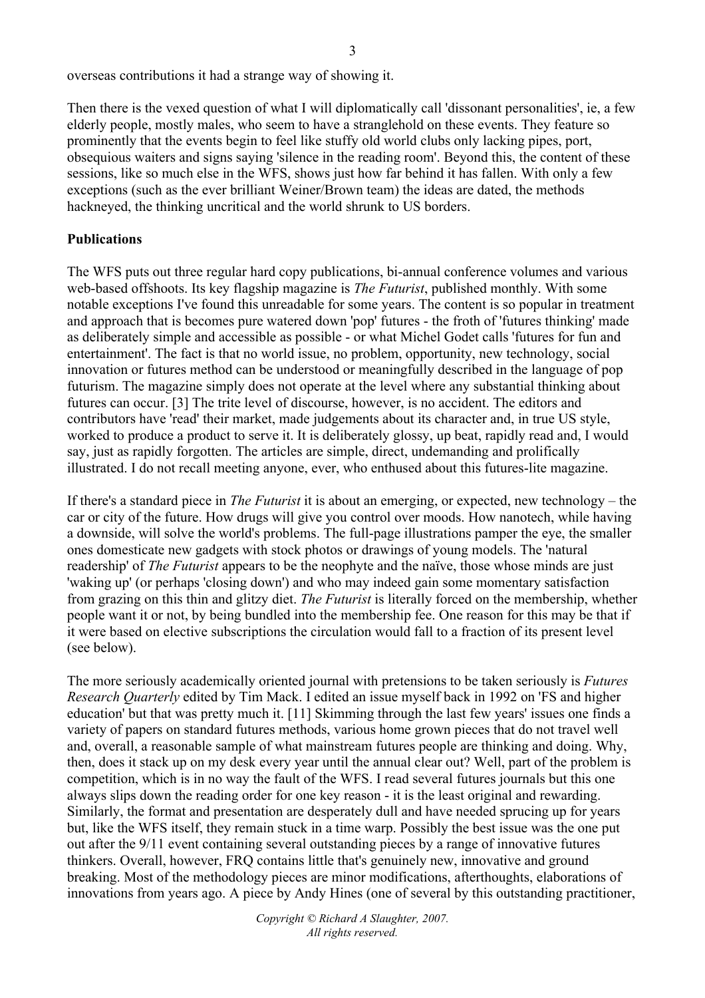overseas contributions it had a strange way of showing it.

Then there is the vexed question of what I will diplomatically call 'dissonant personalities', ie, a few elderly people, mostly males, who seem to have a stranglehold on these events. They feature so prominently that the events begin to feel like stuffy old world clubs only lacking pipes, port, obsequious waiters and signs saying 'silence in the reading room'. Beyond this, the content of these sessions, like so much else in the WFS, shows just how far behind it has fallen. With only a few exceptions (such as the ever brilliant Weiner/Brown team) the ideas are dated, the methods hackneyed, the thinking uncritical and the world shrunk to US borders.

#### **Publications**

The WFS puts out three regular hard copy publications, bi-annual conference volumes and various web-based offshoots. Its key flagship magazine is *The Futurist*, published monthly. With some notable exceptions I've found this unreadable for some years. The content is so popular in treatment and approach that is becomes pure watered down 'pop' futures - the froth of 'futures thinking' made as deliberately simple and accessible as possible - or what Michel Godet calls 'futures for fun and entertainment'. The fact is that no world issue, no problem, opportunity, new technology, social innovation or futures method can be understood or meaningfully described in the language of pop futurism. The magazine simply does not operate at the level where any substantial thinking about futures can occur. [3] The trite level of discourse, however, is no accident. The editors and contributors have 'read' their market, made judgements about its character and, in true US style, worked to produce a product to serve it. It is deliberately glossy, up beat, rapidly read and, I would say, just as rapidly forgotten. The articles are simple, direct, undemanding and prolifically illustrated. I do not recall meeting anyone, ever, who enthused about this futures-lite magazine.

If there's a standard piece in *The Futurist* it is about an emerging, or expected, new technology – the car or city of the future. How drugs will give you control over moods. How nanotech, while having a downside, will solve the world's problems. The full-page illustrations pamper the eye, the smaller ones domesticate new gadgets with stock photos or drawings of young models. The 'natural readership' of *The Futurist* appears to be the neophyte and the naïve, those whose minds are just 'waking up' (or perhaps 'closing down') and who may indeed gain some momentary satisfaction from grazing on this thin and glitzy diet. *The Futurist* is literally forced on the membership, whether people want it or not, by being bundled into the membership fee. One reason for this may be that if it were based on elective subscriptions the circulation would fall to a fraction of its present level (see below).

The more seriously academically oriented journal with pretensions to be taken seriously is *Futures Research Quarterly* edited by Tim Mack. I edited an issue myself back in 1992 on 'FS and higher education' but that was pretty much it. [11] Skimming through the last few years' issues one finds a variety of papers on standard futures methods, various home grown pieces that do not travel well and, overall, a reasonable sample of what mainstream futures people are thinking and doing. Why, then, does it stack up on my desk every year until the annual clear out? Well, part of the problem is competition, which is in no way the fault of the WFS. I read several futures journals but this one always slips down the reading order for one key reason - it is the least original and rewarding. Similarly, the format and presentation are desperately dull and have needed sprucing up for years but, like the WFS itself, they remain stuck in a time warp. Possibly the best issue was the one put out after the 9/11 event containing several outstanding pieces by a range of innovative futures thinkers. Overall, however, FRQ contains little that's genuinely new, innovative and ground breaking. Most of the methodology pieces are minor modifications, afterthoughts, elaborations of innovations from years ago. A piece by Andy Hines (one of several by this outstanding practitioner,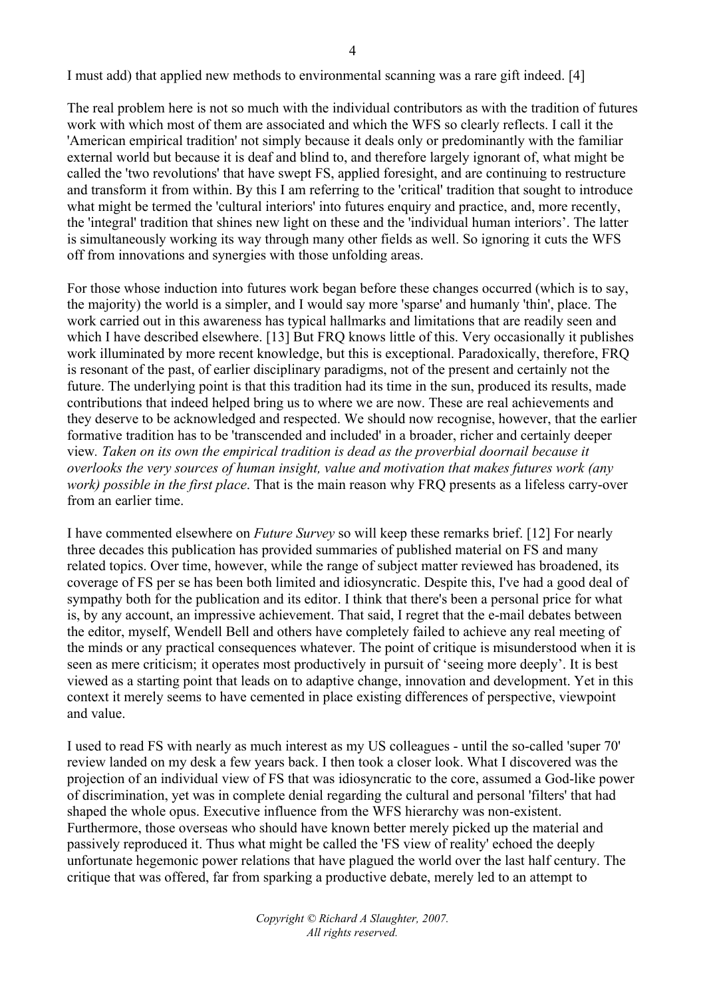I must add) that applied new methods to environmental scanning was a rare gift indeed. [4]

The real problem here is not so much with the individual contributors as with the tradition of futures work with which most of them are associated and which the WFS so clearly reflects. I call it the 'American empirical tradition' not simply because it deals only or predominantly with the familiar external world but because it is deaf and blind to, and therefore largely ignorant of, what might be called the 'two revolutions' that have swept FS, applied foresight, and are continuing to restructure and transform it from within. By this I am referring to the 'critical' tradition that sought to introduce what might be termed the 'cultural interiors' into futures enquiry and practice, and, more recently, the 'integral' tradition that shines new light on these and the 'individual human interiors'. The latter is simultaneously working its way through many other fields as well. So ignoring it cuts the WFS off from innovations and synergies with those unfolding areas.

For those whose induction into futures work began before these changes occurred (which is to say, the majority) the world is a simpler, and I would say more 'sparse' and humanly 'thin', place. The work carried out in this awareness has typical hallmarks and limitations that are readily seen and which I have described elsewhere. [13] But FRQ knows little of this. Very occasionally it publishes work illuminated by more recent knowledge, but this is exceptional. Paradoxically, therefore, FRQ is resonant of the past, of earlier disciplinary paradigms, not of the present and certainly not the future. The underlying point is that this tradition had its time in the sun, produced its results, made contributions that indeed helped bring us to where we are now. These are real achievements and they deserve to be acknowledged and respected. We should now recognise, however, that the earlier formative tradition has to be 'transcended and included' in a broader, richer and certainly deeper view*. Taken on its own the empirical tradition is dead as the proverbial doornail because it overlooks the very sources of human insight, value and motivation that makes futures work (any work) possible in the first place*. That is the main reason why FRQ presents as a lifeless carry-over from an earlier time.

I have commented elsewhere on *Future Survey* so will keep these remarks brief. [12] For nearly three decades this publication has provided summaries of published material on FS and many related topics. Over time, however, while the range of subject matter reviewed has broadened, its coverage of FS per se has been both limited and idiosyncratic. Despite this, I've had a good deal of sympathy both for the publication and its editor. I think that there's been a personal price for what is, by any account, an impressive achievement. That said, I regret that the e-mail debates between the editor, myself, Wendell Bell and others have completely failed to achieve any real meeting of the minds or any practical consequences whatever. The point of critique is misunderstood when it is seen as mere criticism; it operates most productively in pursuit of 'seeing more deeply'. It is best viewed as a starting point that leads on to adaptive change, innovation and development. Yet in this context it merely seems to have cemented in place existing differences of perspective, viewpoint and value.

I used to read FS with nearly as much interest as my US colleagues - until the so-called 'super 70' review landed on my desk a few years back. I then took a closer look. What I discovered was the projection of an individual view of FS that was idiosyncratic to the core, assumed a God-like power of discrimination, yet was in complete denial regarding the cultural and personal 'filters' that had shaped the whole opus. Executive influence from the WFS hierarchy was non-existent. Furthermore, those overseas who should have known better merely picked up the material and passively reproduced it. Thus what might be called the 'FS view of reality' echoed the deeply unfortunate hegemonic power relations that have plagued the world over the last half century. The critique that was offered, far from sparking a productive debate, merely led to an attempt to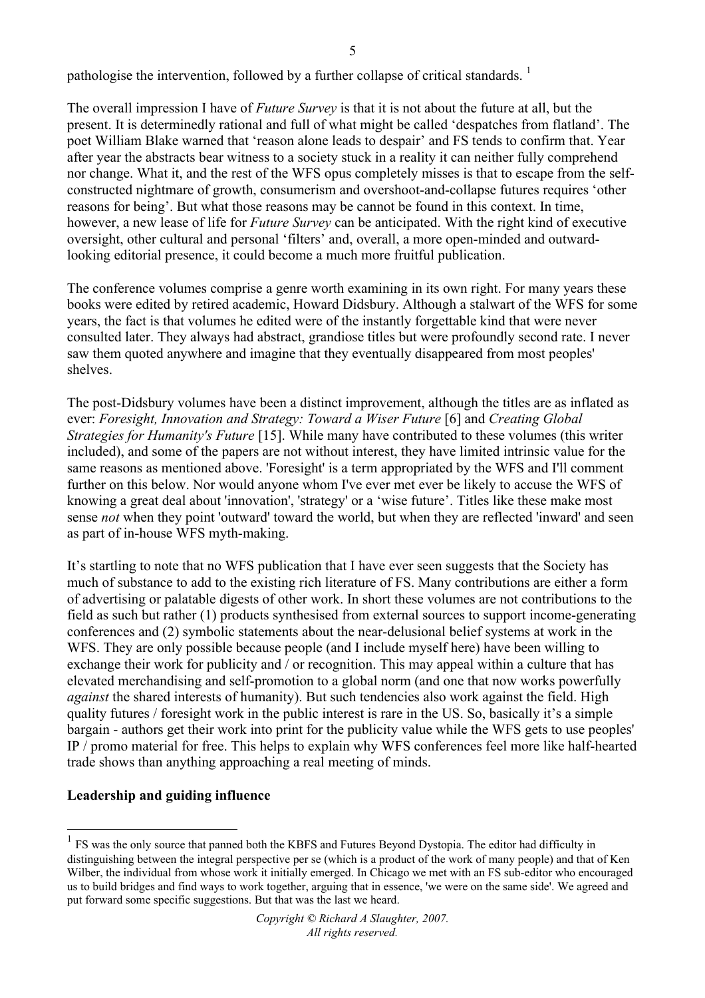5

pathologise the intervention, followed by a further collapse of critical standards.  $\frac{1}{1}$ 

The overall impression I have of *Future Survey* is that it is not about the future at all, but the present. It is determinedly rational and full of what might be called 'despatches from flatland'. The poet William Blake warned that 'reason alone leads to despair' and FS tends to confirm that. Year after year the abstracts bear witness to a society stuck in a reality it can neither fully comprehend nor change. What it, and the rest of the WFS opus completely misses is that to escape from the selfconstructed nightmare of growth, consumerism and overshoot-and-collapse futures requires 'other reasons for being'. But what those reasons may be cannot be found in this context. In time, however, a new lease of life for *Future Survey* can be anticipated. With the right kind of executive oversight, other cultural and personal 'filters' and, overall, a more open-minded and outwardlooking editorial presence, it could become a much more fruitful publication.

The conference volumes comprise a genre worth examining in its own right. For many years these books were edited by retired academic, Howard Didsbury. Although a stalwart of the WFS for some years, the fact is that volumes he edited were of the instantly forgettable kind that were never consulted later. They always had abstract, grandiose titles but were profoundly second rate. I never saw them quoted anywhere and imagine that they eventually disappeared from most peoples' shelves.

The post-Didsbury volumes have been a distinct improvement, although the titles are as inflated as ever: *Foresight, Innovation and Strategy: Toward a Wiser Future* [6] and *Creating Global Strategies for Humanity's Future* [15]. While many have contributed to these volumes (this writer included), and some of the papers are not without interest, they have limited intrinsic value for the same reasons as mentioned above. 'Foresight' is a term appropriated by the WFS and I'll comment further on this below. Nor would anyone whom I've ever met ever be likely to accuse the WFS of knowing a great deal about 'innovation', 'strategy' or a 'wise future'. Titles like these make most sense *not* when they point 'outward' toward the world, but when they are reflected 'inward' and seen as part of in-house WFS myth-making.

It's startling to note that no WFS publication that I have ever seen suggests that the Society has much of substance to add to the existing rich literature of FS. Many contributions are either a form of advertising or palatable digests of other work. In short these volumes are not contributions to the field as such but rather (1) products synthesised from external sources to support income-generating conferences and (2) symbolic statements about the near-delusional belief systems at work in the WFS. They are only possible because people (and I include myself here) have been willing to exchange their work for publicity and / or recognition. This may appeal within a culture that has elevated merchandising and self-promotion to a global norm (and one that now works powerfully *against* the shared interests of humanity). But such tendencies also work against the field. High quality futures / foresight work in the public interest is rare in the US. So, basically it's a simple bargain - authors get their work into print for the publicity value while the WFS gets to use peoples' IP / promo material for free. This helps to explain why WFS conferences feel more like half-hearted trade shows than anything approaching a real meeting of minds.

#### **Leadership and guiding influence**

1

<sup>&</sup>lt;sup>1</sup> FS was the only source that panned both the KBFS and Futures Beyond Dystopia. The editor had difficulty in distinguishing between the integral perspective per se (which is a product of the work of many people) and that of Ken Wilber, the individual from whose work it initially emerged. In Chicago we met with an FS sub-editor who encouraged us to build bridges and find ways to work together, arguing that in essence, 'we were on the same side'. We agreed and put forward some specific suggestions. But that was the last we heard.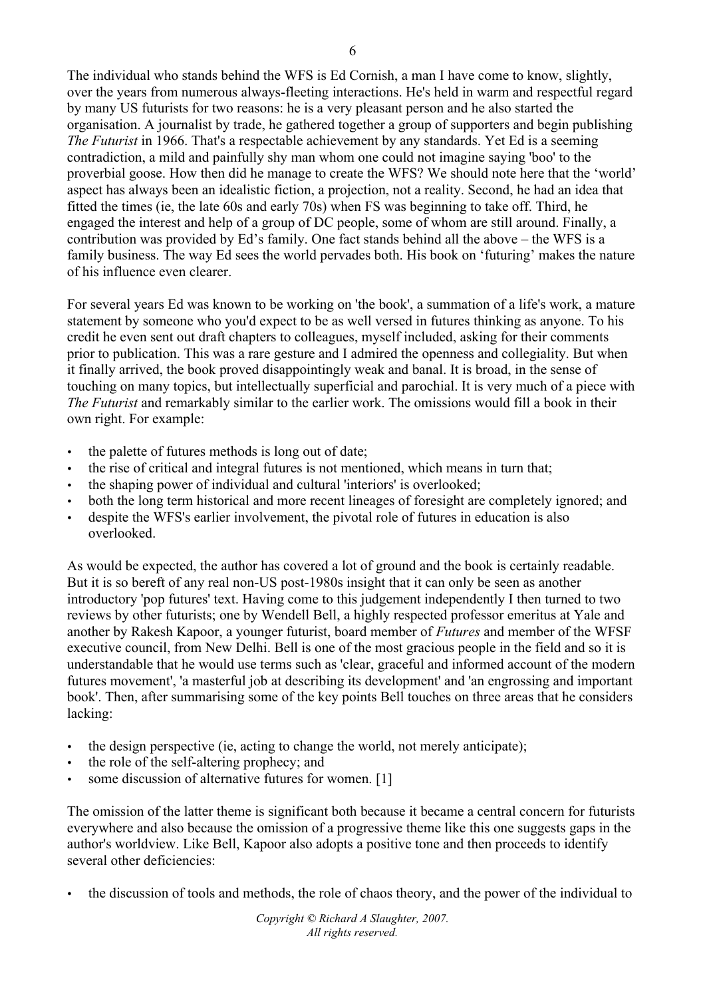The individual who stands behind the WFS is Ed Cornish, a man I have come to know, slightly, over the years from numerous always-fleeting interactions. He's held in warm and respectful regard by many US futurists for two reasons: he is a very pleasant person and he also started the organisation. A journalist by trade, he gathered together a group of supporters and begin publishing *The Futurist* in 1966. That's a respectable achievement by any standards. Yet Ed is a seeming contradiction, a mild and painfully shy man whom one could not imagine saying 'boo' to the proverbial goose. How then did he manage to create the WFS? We should note here that the 'world' aspect has always been an idealistic fiction, a projection, not a reality. Second, he had an idea that fitted the times (ie, the late 60s and early 70s) when FS was beginning to take off. Third, he engaged the interest and help of a group of DC people, some of whom are still around. Finally, a contribution was provided by Ed's family. One fact stands behind all the above – the WFS is a family business. The way Ed sees the world pervades both. His book on 'futuring' makes the nature of his influence even clearer.

For several years Ed was known to be working on 'the book', a summation of a life's work, a mature statement by someone who you'd expect to be as well versed in futures thinking as anyone. To his credit he even sent out draft chapters to colleagues, myself included, asking for their comments prior to publication. This was a rare gesture and I admired the openness and collegiality. But when it finally arrived, the book proved disappointingly weak and banal. It is broad, in the sense of touching on many topics, but intellectually superficial and parochial. It is very much of a piece with *The Futurist* and remarkably similar to the earlier work. The omissions would fill a book in their own right. For example:

- the palette of futures methods is long out of date;
- the rise of critical and integral futures is not mentioned, which means in turn that;
- the shaping power of individual and cultural 'interiors' is overlooked;
- both the long term historical and more recent lineages of foresight are completely ignored; and
- despite the WFS's earlier involvement, the pivotal role of futures in education is also overlooked.

As would be expected, the author has covered a lot of ground and the book is certainly readable. But it is so bereft of any real non-US post-1980s insight that it can only be seen as another introductory 'pop futures' text. Having come to this judgement independently I then turned to two reviews by other futurists; one by Wendell Bell, a highly respected professor emeritus at Yale and another by Rakesh Kapoor, a younger futurist, board member of *Futures* and member of the WFSF executive council, from New Delhi. Bell is one of the most gracious people in the field and so it is understandable that he would use terms such as 'clear, graceful and informed account of the modern futures movement', 'a masterful job at describing its development' and 'an engrossing and important book'. Then, after summarising some of the key points Bell touches on three areas that he considers lacking:

- the design perspective (ie, acting to change the world, not merely anticipate);
- the role of the self-altering prophecy; and
- some discussion of alternative futures for women. [1]

The omission of the latter theme is significant both because it became a central concern for futurists everywhere and also because the omission of a progressive theme like this one suggests gaps in the author's worldview. Like Bell, Kapoor also adopts a positive tone and then proceeds to identify several other deficiencies:

• the discussion of tools and methods, the role of chaos theory, and the power of the individual to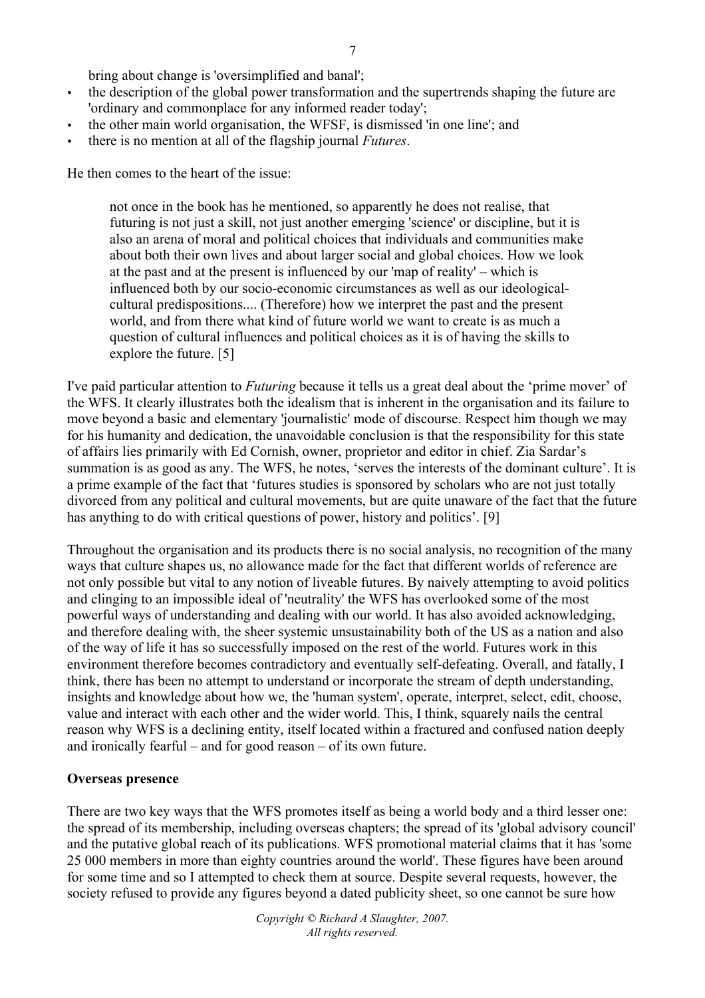bring about change is 'oversimplified and banal';

- the description of the global power transformation and the supertrends shaping the future are 'ordinary and commonplace for any informed reader today';
- the other main world organisation, the WFSF, is dismissed 'in one line'; and
- there is no mention at all of the flagship journal *Futures*.

He then comes to the heart of the issue:

not once in the book has he mentioned, so apparently he does not realise, that futuring is not just a skill, not just another emerging 'science' or discipline, but it is also an arena of moral and political choices that individuals and communities make about both their own lives and about larger social and global choices. How we look at the past and at the present is influenced by our 'map of reality' – which is influenced both by our socio-economic circumstances as well as our ideologicalcultural predispositions.... (Therefore) how we interpret the past and the present world, and from there what kind of future world we want to create is as much a question of cultural influences and political choices as it is of having the skills to explore the future. [5]

I've paid particular attention to *Futuring* because it tells us a great deal about the 'prime mover' of the WFS. It clearly illustrates both the idealism that is inherent in the organisation and its failure to move beyond a basic and elementary 'journalistic' mode of discourse. Respect him though we may for his humanity and dedication, the unavoidable conclusion is that the responsibility for this state of affairs lies primarily with Ed Cornish, owner, proprietor and editor in chief. Zia Sardar's summation is as good as any. The WFS, he notes, 'serves the interests of the dominant culture'. It is a prime example of the fact that 'futures studies is sponsored by scholars who are not just totally divorced from any political and cultural movements, but are quite unaware of the fact that the future has anything to do with critical questions of power, history and politics'. [9]

Throughout the organisation and its products there is no social analysis, no recognition of the many ways that culture shapes us, no allowance made for the fact that different worlds of reference are not only possible but vital to any notion of liveable futures. By naively attempting to avoid politics and clinging to an impossible ideal of 'neutrality' the WFS has overlooked some of the most powerful ways of understanding and dealing with our world. It has also avoided acknowledging, and therefore dealing with, the sheer systemic unsustainability both of the US as a nation and also of the way of life it has so successfully imposed on the rest of the world. Futures work in this environment therefore becomes contradictory and eventually self-defeating. Overall, and fatally, I think, there has been no attempt to understand or incorporate the stream of depth understanding, insights and knowledge about how we, the 'human system', operate, interpret, select, edit, choose, value and interact with each other and the wider world. This, I think, squarely nails the central reason why WFS is a declining entity, itself located within a fractured and confused nation deeply and ironically fearful – and for good reason – of its own future.

#### **Overseas presence**

There are two key ways that the WFS promotes itself as being a world body and a third lesser one: the spread of its membership, including overseas chapters; the spread of its 'global advisory council' and the putative global reach of its publications. WFS promotional material claims that it has 'some 25 000 members in more than eighty countries around the world'. These figures have been around for some time and so I attempted to check them at source. Despite several requests, however, the society refused to provide any figures beyond a dated publicity sheet, so one cannot be sure how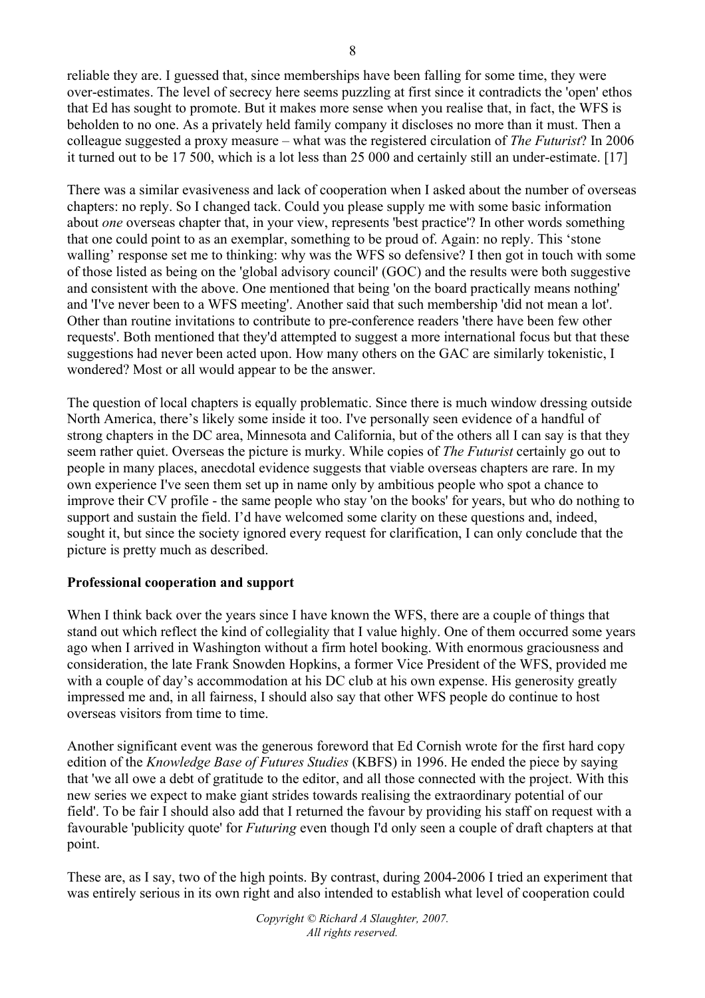reliable they are. I guessed that, since memberships have been falling for some time, they were over-estimates. The level of secrecy here seems puzzling at first since it contradicts the 'open' ethos that Ed has sought to promote. But it makes more sense when you realise that, in fact, the WFS is beholden to no one. As a privately held family company it discloses no more than it must. Then a colleague suggested a proxy measure – what was the registered circulation of *The Futurist*? In 2006 it turned out to be 17 500, which is a lot less than 25 000 and certainly still an under-estimate. [17]

There was a similar evasiveness and lack of cooperation when I asked about the number of overseas chapters: no reply. So I changed tack. Could you please supply me with some basic information about *one* overseas chapter that, in your view, represents 'best practice'? In other words something that one could point to as an exemplar, something to be proud of. Again: no reply. This 'stone walling' response set me to thinking: why was the WFS so defensive? I then got in touch with some of those listed as being on the 'global advisory council' (GOC) and the results were both suggestive and consistent with the above. One mentioned that being 'on the board practically means nothing' and 'I've never been to a WFS meeting'. Another said that such membership 'did not mean a lot'. Other than routine invitations to contribute to pre-conference readers 'there have been few other requests'. Both mentioned that they'd attempted to suggest a more international focus but that these suggestions had never been acted upon. How many others on the GAC are similarly tokenistic, I wondered? Most or all would appear to be the answer.

The question of local chapters is equally problematic. Since there is much window dressing outside North America, there's likely some inside it too. I've personally seen evidence of a handful of strong chapters in the DC area, Minnesota and California, but of the others all I can say is that they seem rather quiet. Overseas the picture is murky. While copies of *The Futurist* certainly go out to people in many places, anecdotal evidence suggests that viable overseas chapters are rare. In my own experience I've seen them set up in name only by ambitious people who spot a chance to improve their CV profile - the same people who stay 'on the books' for years, but who do nothing to support and sustain the field. I'd have welcomed some clarity on these questions and, indeed, sought it, but since the society ignored every request for clarification, I can only conclude that the picture is pretty much as described.

#### **Professional cooperation and support**

When I think back over the years since I have known the WFS, there are a couple of things that stand out which reflect the kind of collegiality that I value highly. One of them occurred some years ago when I arrived in Washington without a firm hotel booking. With enormous graciousness and consideration, the late Frank Snowden Hopkins, a former Vice President of the WFS, provided me with a couple of day's accommodation at his DC club at his own expense. His generosity greatly impressed me and, in all fairness, I should also say that other WFS people do continue to host overseas visitors from time to time.

Another significant event was the generous foreword that Ed Cornish wrote for the first hard copy edition of the *Knowledge Base of Futures Studies* (KBFS) in 1996. He ended the piece by saying that 'we all owe a debt of gratitude to the editor, and all those connected with the project. With this new series we expect to make giant strides towards realising the extraordinary potential of our field'. To be fair I should also add that I returned the favour by providing his staff on request with a favourable 'publicity quote' for *Futuring* even though I'd only seen a couple of draft chapters at that point.

These are, as I say, two of the high points. By contrast, during 2004-2006 I tried an experiment that was entirely serious in its own right and also intended to establish what level of cooperation could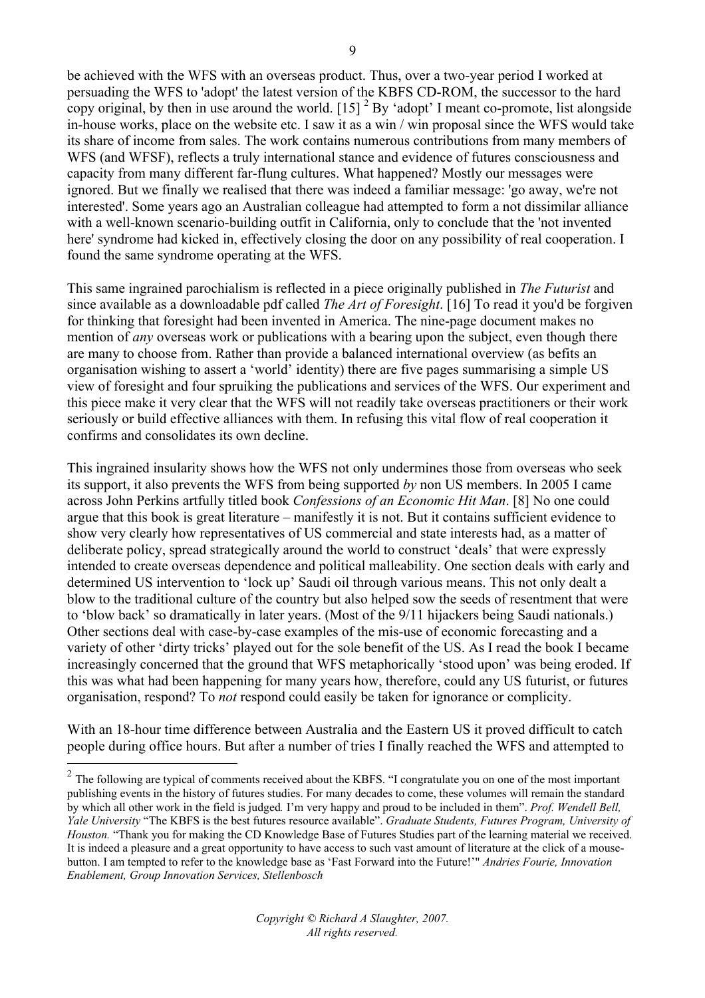be achieved with the WFS with an overseas product. Thus, over a two-year period I worked at persuading the WFS to 'adopt' the latest version of the KBFS CD-ROM, the successor to the hard copy original, by then in use around the world.  $[15]^2$  By 'adopt' I meant co-promote, list alongside in-house works, place on the website etc. I saw it as a win / win proposal since the WFS would take its share of income from sales. The work contains numerous contributions from many members of WFS (and WFSF), reflects a truly international stance and evidence of futures consciousness and capacity from many different far-flung cultures. What happened? Mostly our messages were ignored. But we finally we realised that there was indeed a familiar message: 'go away, we're not interested'. Some years ago an Australian colleague had attempted to form a not dissimilar alliance with a well-known scenario-building outfit in California, only to conclude that the 'not invented here' syndrome had kicked in, effectively closing the door on any possibility of real cooperation. I found the same syndrome operating at the WFS.

This same ingrained parochialism is reflected in a piece originally published in *The Futurist* and since available as a downloadable pdf called *The Art of Foresight*. [16] To read it you'd be forgiven for thinking that foresight had been invented in America. The nine-page document makes no mention of *any* overseas work or publications with a bearing upon the subject, even though there are many to choose from. Rather than provide a balanced international overview (as befits an organisation wishing to assert a 'world' identity) there are five pages summarising a simple US view of foresight and four spruiking the publications and services of the WFS. Our experiment and this piece make it very clear that the WFS will not readily take overseas practitioners or their work seriously or build effective alliances with them. In refusing this vital flow of real cooperation it confirms and consolidates its own decline.

This ingrained insularity shows how the WFS not only undermines those from overseas who seek its support, it also prevents the WFS from being supported *by* non US members. In 2005 I came across John Perkins artfully titled book *Confessions of an Economic Hit Man*. [8] No one could argue that this book is great literature – manifestly it is not. But it contains sufficient evidence to show very clearly how representatives of US commercial and state interests had, as a matter of deliberate policy, spread strategically around the world to construct 'deals' that were expressly intended to create overseas dependence and political malleability. One section deals with early and determined US intervention to 'lock up' Saudi oil through various means. This not only dealt a blow to the traditional culture of the country but also helped sow the seeds of resentment that were to 'blow back' so dramatically in later years. (Most of the 9/11 hijackers being Saudi nationals.) Other sections deal with case-by-case examples of the mis-use of economic forecasting and a variety of other 'dirty tricks' played out for the sole benefit of the US. As I read the book I became increasingly concerned that the ground that WFS metaphorically 'stood upon' was being eroded. If this was what had been happening for many years how, therefore, could any US futurist, or futures organisation, respond? To *not* respond could easily be taken for ignorance or complicity.

With an 18-hour time difference between Australia and the Eastern US it proved difficult to catch people during office hours. But after a number of tries I finally reached the WFS and attempted to

1

 $2^2$  The following are typical of comments received about the KBFS. "I congratulate you on one of the most important publishing events in the history of futures studies. For many decades to come, these volumes will remain the standard by which all other work in the field is judged*.* I'm very happy and proud to be included in them". *Prof. Wendell Bell, Yale University* "The KBFS is the best futures resource available". *Graduate Students, Futures Program, University of Houston.* "Thank you for making the CD Knowledge Base of Futures Studies part of the learning material we received. It is indeed a pleasure and a great opportunity to have access to such vast amount of literature at the click of a mousebutton. I am tempted to refer to the knowledge base as 'Fast Forward into the Future!'" *Andries Fourie, Innovation Enablement, Group Innovation Services, Stellenbosch*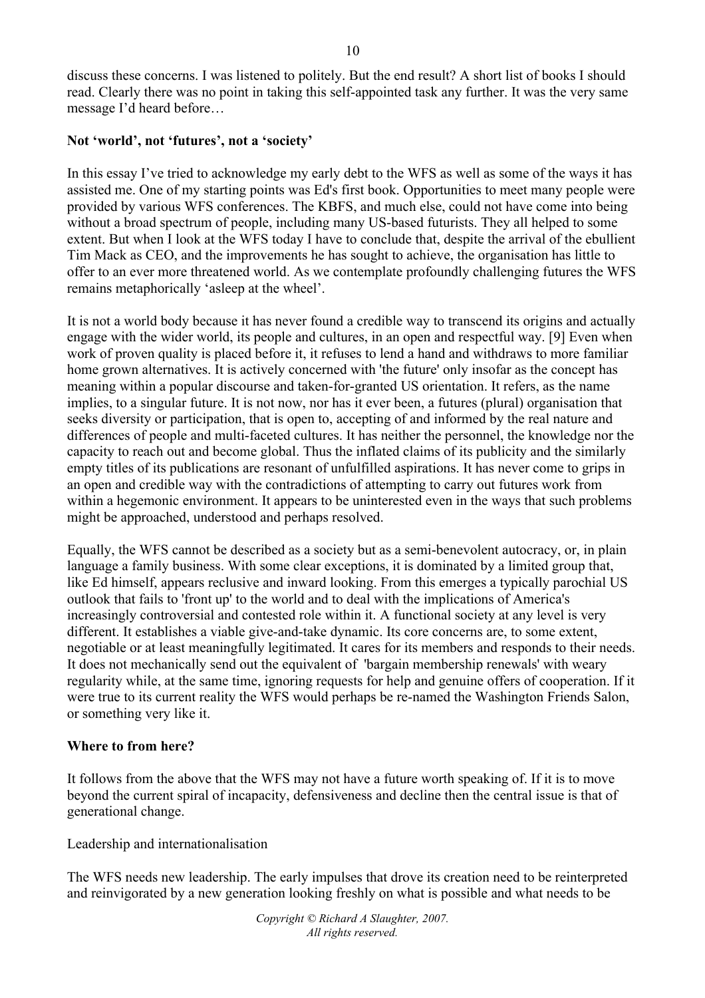discuss these concerns. I was listened to politely. But the end result? A short list of books I should read. Clearly there was no point in taking this self-appointed task any further. It was the very same message I'd heard before…

#### **Not 'world', not 'futures', not a 'society'**

In this essay I've tried to acknowledge my early debt to the WFS as well as some of the ways it has assisted me. One of my starting points was Ed's first book. Opportunities to meet many people were provided by various WFS conferences. The KBFS, and much else, could not have come into being without a broad spectrum of people, including many US-based futurists. They all helped to some extent. But when I look at the WFS today I have to conclude that, despite the arrival of the ebullient Tim Mack as CEO, and the improvements he has sought to achieve, the organisation has little to offer to an ever more threatened world. As we contemplate profoundly challenging futures the WFS remains metaphorically 'asleep at the wheel'.

It is not a world body because it has never found a credible way to transcend its origins and actually engage with the wider world, its people and cultures, in an open and respectful way. [9] Even when work of proven quality is placed before it, it refuses to lend a hand and withdraws to more familiar home grown alternatives. It is actively concerned with 'the future' only insofar as the concept has meaning within a popular discourse and taken-for-granted US orientation. It refers, as the name implies, to a singular future. It is not now, nor has it ever been, a futures (plural) organisation that seeks diversity or participation, that is open to, accepting of and informed by the real nature and differences of people and multi-faceted cultures. It has neither the personnel, the knowledge nor the capacity to reach out and become global. Thus the inflated claims of its publicity and the similarly empty titles of its publications are resonant of unfulfilled aspirations. It has never come to grips in an open and credible way with the contradictions of attempting to carry out futures work from within a hegemonic environment. It appears to be uninterested even in the ways that such problems might be approached, understood and perhaps resolved.

Equally, the WFS cannot be described as a society but as a semi-benevolent autocracy, or, in plain language a family business. With some clear exceptions, it is dominated by a limited group that, like Ed himself, appears reclusive and inward looking. From this emerges a typically parochial US outlook that fails to 'front up' to the world and to deal with the implications of America's increasingly controversial and contested role within it. A functional society at any level is very different. It establishes a viable give-and-take dynamic. Its core concerns are, to some extent, negotiable or at least meaningfully legitimated. It cares for its members and responds to their needs. It does not mechanically send out the equivalent of 'bargain membership renewals' with weary regularity while, at the same time, ignoring requests for help and genuine offers of cooperation. If it were true to its current reality the WFS would perhaps be re-named the Washington Friends Salon, or something very like it.

### **Where to from here?**

It follows from the above that the WFS may not have a future worth speaking of. If it is to move beyond the current spiral of incapacity, defensiveness and decline then the central issue is that of generational change.

Leadership and internationalisation

The WFS needs new leadership. The early impulses that drove its creation need to be reinterpreted and reinvigorated by a new generation looking freshly on what is possible and what needs to be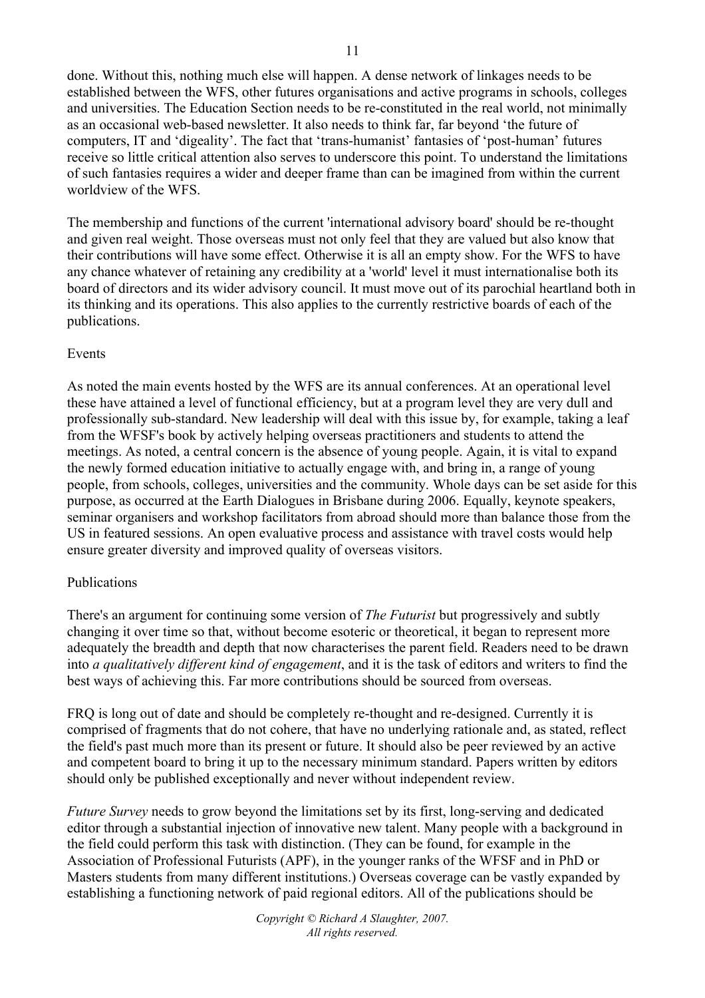done. Without this, nothing much else will happen. A dense network of linkages needs to be established between the WFS, other futures organisations and active programs in schools, colleges and universities. The Education Section needs to be re-constituted in the real world, not minimally as an occasional web-based newsletter. It also needs to think far, far beyond 'the future of computers, IT and 'digeality'. The fact that 'trans-humanist' fantasies of 'post-human' futures receive so little critical attention also serves to underscore this point. To understand the limitations of such fantasies requires a wider and deeper frame than can be imagined from within the current worldview of the WFS.

The membership and functions of the current 'international advisory board' should be re-thought and given real weight. Those overseas must not only feel that they are valued but also know that their contributions will have some effect. Otherwise it is all an empty show. For the WFS to have any chance whatever of retaining any credibility at a 'world' level it must internationalise both its board of directors and its wider advisory council. It must move out of its parochial heartland both in its thinking and its operations. This also applies to the currently restrictive boards of each of the publications.

### Events

As noted the main events hosted by the WFS are its annual conferences. At an operational level these have attained a level of functional efficiency, but at a program level they are very dull and professionally sub-standard. New leadership will deal with this issue by, for example, taking a leaf from the WFSF's book by actively helping overseas practitioners and students to attend the meetings. As noted, a central concern is the absence of young people. Again, it is vital to expand the newly formed education initiative to actually engage with, and bring in, a range of young people, from schools, colleges, universities and the community. Whole days can be set aside for this purpose, as occurred at the Earth Dialogues in Brisbane during 2006. Equally, keynote speakers, seminar organisers and workshop facilitators from abroad should more than balance those from the US in featured sessions. An open evaluative process and assistance with travel costs would help ensure greater diversity and improved quality of overseas visitors.

# Publications

There's an argument for continuing some version of *The Futurist* but progressively and subtly changing it over time so that, without become esoteric or theoretical, it began to represent more adequately the breadth and depth that now characterises the parent field. Readers need to be drawn into *a qualitatively different kind of engagement*, and it is the task of editors and writers to find the best ways of achieving this. Far more contributions should be sourced from overseas.

FRQ is long out of date and should be completely re-thought and re-designed. Currently it is comprised of fragments that do not cohere, that have no underlying rationale and, as stated, reflect the field's past much more than its present or future. It should also be peer reviewed by an active and competent board to bring it up to the necessary minimum standard. Papers written by editors should only be published exceptionally and never without independent review.

*Future Survey* needs to grow beyond the limitations set by its first, long-serving and dedicated editor through a substantial injection of innovative new talent. Many people with a background in the field could perform this task with distinction. (They can be found, for example in the Association of Professional Futurists (APF), in the younger ranks of the WFSF and in PhD or Masters students from many different institutions.) Overseas coverage can be vastly expanded by establishing a functioning network of paid regional editors. All of the publications should be

11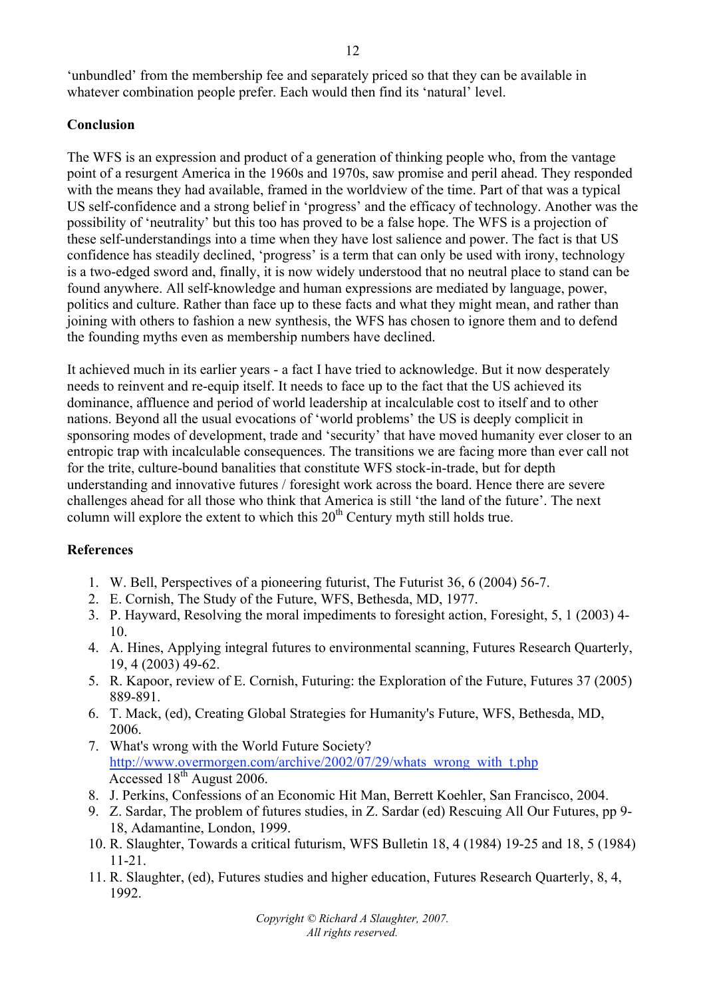'unbundled' from the membership fee and separately priced so that they can be available in whatever combination people prefer. Each would then find its 'natural' level.

# **Conclusion**

The WFS is an expression and product of a generation of thinking people who, from the vantage point of a resurgent America in the 1960s and 1970s, saw promise and peril ahead. They responded with the means they had available, framed in the worldview of the time. Part of that was a typical US self-confidence and a strong belief in 'progress' and the efficacy of technology. Another was the possibility of 'neutrality' but this too has proved to be a false hope. The WFS is a projection of these self-understandings into a time when they have lost salience and power. The fact is that US confidence has steadily declined, 'progress' is a term that can only be used with irony, technology is a two-edged sword and, finally, it is now widely understood that no neutral place to stand can be found anywhere. All self-knowledge and human expressions are mediated by language, power, politics and culture. Rather than face up to these facts and what they might mean, and rather than joining with others to fashion a new synthesis, the WFS has chosen to ignore them and to defend the founding myths even as membership numbers have declined.

It achieved much in its earlier years - a fact I have tried to acknowledge. But it now desperately needs to reinvent and re-equip itself. It needs to face up to the fact that the US achieved its dominance, affluence and period of world leadership at incalculable cost to itself and to other nations. Beyond all the usual evocations of 'world problems' the US is deeply complicit in sponsoring modes of development, trade and 'security' that have moved humanity ever closer to an entropic trap with incalculable consequences. The transitions we are facing more than ever call not for the trite, culture-bound banalities that constitute WFS stock-in-trade, but for depth understanding and innovative futures / foresight work across the board. Hence there are severe challenges ahead for all those who think that America is still 'the land of the future'. The next column will explore the extent to which this  $20<sup>th</sup>$  Century myth still holds true.

# **References**

- 1. W. Bell, Perspectives of a pioneering futurist, The Futurist 36, 6 (2004) 56-7.
- 2. E. Cornish, The Study of the Future, WFS, Bethesda, MD, 1977.
- 3. P. Hayward, Resolving the moral impediments to foresight action, Foresight, 5, 1 (2003) 4- 10.
- 4. A. Hines, Applying integral futures to environmental scanning, Futures Research Quarterly, 19, 4 (2003) 49-62.
- 5. R. Kapoor, review of E. Cornish, Futuring: the Exploration of the Future, Futures 37 (2005) 889-891.
- 6. T. Mack, (ed), Creating Global Strategies for Humanity's Future, WFS, Bethesda, MD, 2006.
- 7. What's wrong with the World Future Society? http://www.overmorgen.com/archive/2002/07/29/whats\_wrong\_with\_t.php Accessed  $18^{th}$  August 2006.
- 8. J. Perkins, Confessions of an Economic Hit Man, Berrett Koehler, San Francisco, 2004.
- 9. Z. Sardar, The problem of futures studies, in Z. Sardar (ed) Rescuing All Our Futures, pp 9- 18, Adamantine, London, 1999.
- 10. R. Slaughter, Towards a critical futurism, WFS Bulletin 18, 4 (1984) 19-25 and 18, 5 (1984) 11-21.
- 11. R. Slaughter, (ed), Futures studies and higher education, Futures Research Quarterly, 8, 4, 1992.